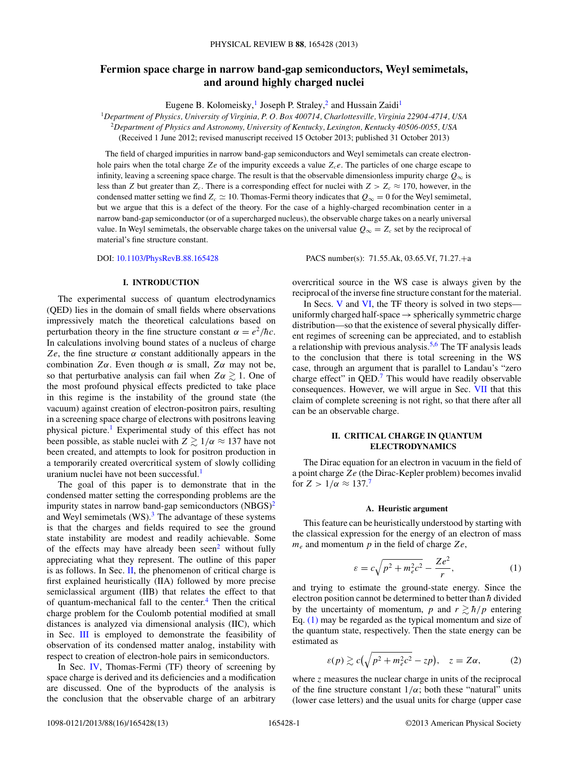# <span id="page-0-0"></span>**Fermion space charge in narrow band-gap semiconductors, Weyl semimetals, and around highly charged nuclei**

Eugene B. Kolomeisky,<sup>1</sup> Joseph P. Straley,<sup>2</sup> and Hussain Zaidi<sup>1</sup>

<sup>1</sup>*Department of Physics, University of Virginia, P. O. Box 400714, Charlottesville, Virginia 22904-4714, USA* <sup>2</sup>*Department of Physics and Astronomy, University of Kentucky, Lexington, Kentucky 40506-0055, USA*

(Received 1 June 2012; revised manuscript received 15 October 2013; published 31 October 2013)

The field of charged impurities in narrow band-gap semiconductors and Weyl semimetals can create electronhole pairs when the total charge  $Ze$  of the impurity exceeds a value  $Z_c e$ . The particles of one charge escape to infinity, leaving a screening space charge. The result is that the observable dimensionless impurity charge  $Q_{\infty}$  is less than *Z* but greater than  $Z_c$ . There is a corresponding effect for nuclei with  $Z > Z_c \approx 170$ , however, in the condensed matter setting we find  $Z_c \approx 10$ . Thomas-Fermi theory indicates that  $Q_\infty = 0$  for the Weyl semimetal, but we argue that this is a defect of the theory. For the case of a highly-charged recombination center in a narrow band-gap semiconductor (or of a supercharged nucleus), the observable charge takes on a nearly universal value. In Weyl semimetals, the observable charge takes on the universal value  $Q_{\infty} = Z_c$  set by the reciprocal of material's fine structure constant.

DOI: [10.1103/PhysRevB.88.165428](http://dx.doi.org/10.1103/PhysRevB.88.165428) PACS number(s): 71*.*55*.*Ak, 03*.*65*.*Vf, 71*.*27*.*+a

# **I. INTRODUCTION**

The experimental success of quantum electrodynamics (QED) lies in the domain of small fields where observations impressively match the theoretical calculations based on perturbation theory in the fine structure constant  $\alpha = e^2/\hbar c$ . In calculations involving bound states of a nucleus of charge *Ze*, the fine structure  $α$  constant additionally appears in the combination  $Z\alpha$ . Even though  $\alpha$  is small,  $Z\alpha$  may not be, so that perturbative analysis can fail when  $Z\alpha \gtrsim 1$ . One of the most profound physical effects predicted to take place in this regime is the instability of the ground state (the vacuum) against creation of electron-positron pairs, resulting in a screening space charge of electrons with positrons leaving physical picture.[1](#page-11-0) Experimental study of this effect has not been possible, as stable nuclei with  $Z \gtrsim 1/\alpha \approx 137$  have not been created, and attempts to look for positron production in a temporarily created overcritical system of slowly colliding uranium nuclei have not been successful.<sup>1</sup>

The goal of this paper is to demonstrate that in the condensed matter setting the corresponding problems are the impurity states in narrow band-gap semiconductors  $(NBGS)^2$ and Weyl semimetals  $(WS)$ .<sup>[3](#page-11-0)</sup> The advantage of these systems is that the charges and fields required to see the ground state instability are modest and readily achievable. Some of the effects may have already been seen<sup>[2](#page-11-0)</sup> without fully appreciating what they represent. The outline of this paper is as follows. In Sec. II, the phenomenon of critical charge is first explained heuristically (IIA) followed by more precise semiclassical argument (IIB) that relates the effect to that of quantum-mechanical fall to the center.<sup>4</sup> Then the critical charge problem for the Coulomb potential modified at small distances is analyzed via dimensional analysis (IIC), which in Sec. [III](#page-3-0) is employed to demonstrate the feasibility of observation of its condensed matter analog, instability with respect to creation of electron-hole pairs in semiconductors.

In Sec. [IV,](#page-4-0) Thomas-Fermi (TF) theory of screening by space charge is derived and its deficiencies and a modification are discussed. One of the byproducts of the analysis is the conclusion that the observable charge of an arbitrary overcritical source in the WS case is always given by the reciprocal of the inverse fine structure constant for the material.

In Secs. [V](#page-6-0) and [VI,](#page-10-0) the TF theory is solved in two steps uniformly charged half-space  $\rightarrow$  spherically symmetric charge distribution—so that the existence of several physically different regimes of screening can be appreciated, and to establish a relationship with previous analysis.<sup>[5,6](#page-12-0)</sup> The TF analysis leads to the conclusion that there is total screening in the WS case, through an argument that is parallel to Landau's "zero charge effect" in  $QED$ .<sup>[7](#page-12-0)</sup> This would have readily observable consequences. However, we will argue in Sec. [VII](#page-11-0) that this claim of complete screening is not right, so that there after all can be an observable charge.

## **II. CRITICAL CHARGE IN QUANTUM ELECTRODYNAMICS**

The Dirac equation for an electron in vacuum in the field of a point charge *Ze* (the Dirac-Kepler problem) becomes invalid for  $Z > 1/\alpha \approx 137$  $Z > 1/\alpha \approx 137$ .<sup>7</sup>

#### **A. Heuristic argument**

This feature can be heuristically understood by starting with the classical expression for the energy of an electron of mass *me* and momentum *p* in the field of charge *Ze*,

$$
\varepsilon = c\sqrt{p^2 + m_e^2 c^2} - \frac{Ze^2}{r},\tag{1}
$$

and trying to estimate the ground-state energy. Since the electron position cannot be determined to better than  $\hbar$  divided by the uncertainty of momentum, p and  $r \gtrsim \frac{\hbar}{p}$  entering Eq. (1) may be regarded as the typical momentum and size of the quantum state, respectively. Then the state energy can be estimated as

$$
\varepsilon(p) \gtrsim c\left(\sqrt{p^2 + m_e^2 c^2} - zp\right), \quad z = Z\alpha,\tag{2}
$$

where *z* measures the nuclear charge in units of the reciprocal of the fine structure constant  $1/\alpha$ ; both these "natural" units (lower case letters) and the usual units for charge (upper case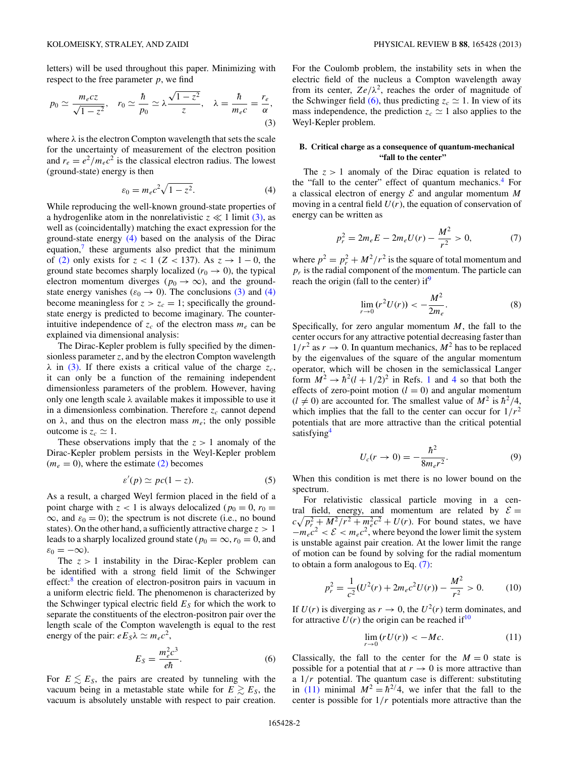<span id="page-1-0"></span>letters) will be used throughout this paper. Minimizing with respect to the free parameter *p*, we find

$$
p_0 \simeq \frac{m_e c z}{\sqrt{1 - z^2}}, \quad r_0 \simeq \frac{\hbar}{p_0} \simeq \lambda \frac{\sqrt{1 - z^2}}{z}, \quad \lambda = \frac{\hbar}{m_e c} = \frac{r_e}{\alpha},
$$
\n(3)

where  $\lambda$  is the electron Compton wavelength that sets the scale for the uncertainty of measurement of the electron position and  $r_e = e^2/m_e c^2$  is the classical electron radius. The lowest (ground-state) energy is then

$$
\varepsilon_0 = m_e c^2 \sqrt{1 - z^2}.\tag{4}
$$

While reproducing the well-known ground-state properties of a hydrogenlike atom in the nonrelativistic  $z \ll 1$  limit (3), as well as (coincidentally) matching the exact expression for the ground-state energy (4) based on the analysis of the Dirac equation, $\frac{7}{1}$  $\frac{7}{1}$  $\frac{7}{1}$  these arguments also predict that the minimum of [\(2\)](#page-0-0) only exists for  $z < 1$  ( $Z < 137$ ). As  $z \rightarrow 1 - 0$ , the ground state becomes sharply localized ( $r_0 \rightarrow 0$ ), the typical electron momentum diverges ( $p_0 \rightarrow \infty$ ), and the groundstate energy vanishes ( $\varepsilon_0 \to 0$ ). The conclusions (3) and (4) become meaningless for  $z > z_c = 1$ ; specifically the groundstate energy is predicted to become imaginary. The counterintuitive independence of  $z_c$  of the electron mass  $m_e$  can be explained via dimensional analysis:

The Dirac-Kepler problem is fully specified by the dimensionless parameter *z*, and by the electron Compton wavelength  $λ$  in (3). If there exists a critical value of the charge  $z_c$ , it can only be a function of the remaining independent dimensionless parameters of the problem. However, having only one length scale *λ* available makes it impossible to use it in a dimensionless combination. Therefore  $z_c$  cannot depend on  $\lambda$ , and thus on the electron mass  $m_e$ ; the only possible outcome is  $z_c \simeq 1$ .

These observations imply that the  $z > 1$  anomaly of the Dirac-Kepler problem persists in the Weyl-Kepler problem  $(m_e = 0)$ , where the estimate  $(2)$  becomes

$$
\varepsilon'(p) \simeq pc(1-z). \tag{5}
$$

As a result, a charged Weyl fermion placed in the field of a point charge with  $z < 1$  is always delocalized ( $p_0 = 0$ ,  $r_0 =$  $\infty$ , and  $\varepsilon_0 = 0$ ); the spectrum is not discrete (i.e., no bound states). On the other hand, a sufficiently attractive charge *z >* 1 leads to a sharply localized ground state ( $p_0 = \infty$ ,  $r_0 = 0$ , and  $\varepsilon_0 = -\infty$ ).

The  $z > 1$  instability in the Dirac-Kepler problem can be identified with a strong field limit of the Schwinger  $effect: <sup>8</sup>$  $effect: <sup>8</sup>$  $effect: <sup>8</sup>$  the creation of electron-positron pairs in vacuum in a uniform electric field. The phenomenon is characterized by the Schwinger typical electric field  $E<sub>S</sub>$  for which the work to separate the constituents of the electron-positron pair over the length scale of the Compton wavelength is equal to the rest energy of the pair:  $eE_S\lambda \simeq m_ec^2$ ,

$$
E_S = \frac{m_e^2 c^3}{e\hbar}.
$$
 (6)

For  $E \leq E_s$ , the pairs are created by tunneling with the vacuum being in a metastable state while for  $E \gtrsim E_S$ , the vacuum is absolutely unstable with respect to pair creation.

For the Coulomb problem, the instability sets in when the electric field of the nucleus a Compton wavelength away from its center,  $Ze/\lambda^2$ , reaches the order of magnitude of the Schwinger field (6), thus predicting  $z_c \approx 1$ . In view of its mass independence, the prediction  $z_c \approx 1$  also applies to the Weyl-Kepler problem.

# **B. Critical charge as a consequence of quantum-mechanical "fall to the center"**

The  $z > 1$  anomaly of the Dirac equation is related to the "fall to the center" effect of quantum mechanics. $4$  For a classical electron of energy  $\mathcal E$  and angular momentum  $M$ moving in a central field  $U(r)$ , the equation of conservation of energy can be written as

$$
p_r^2 = 2m_e E - 2m_e U(r) - \frac{M^2}{r^2} > 0,
$$
 (7)

where  $p^2 = p_r^2 + M^2/r^2$  is the square of total momentum and  $p_r$  is the radial component of the momentum. The particle can reach the origin (fall to the center) if $\theta$ 

$$
\lim_{r \to 0} (r^2 U(r)) < -\frac{M^2}{2m_e}.\tag{8}
$$

Specifically, for zero angular momentum *M*, the fall to the center occurs for any attractive potential decreasing faster than  $1/r^2$  as  $r \to 0$ . In quantum mechanics,  $M^2$  has to be replaced by the eigenvalues of the square of the angular momentum operator, which will be chosen in the semiclassical Langer form  $M^2 \rightarrow h^2(l + 1/2)^2$  $M^2 \rightarrow h^2(l + 1/2)^2$  $M^2 \rightarrow h^2(l + 1/2)^2$  in Refs. 1 and [4](#page-11-0) so that both the effects of zero-point motion  $(l = 0)$  and angular momentum  $(l \neq 0)$  are accounted for. The smallest value of  $M^2$  is  $\hbar^2/4$ , which implies that the fall to the center can occur for  $1/r^2$ potentials that are more attractive than the critical potential satisfying<sup>4</sup>

$$
U_c(r \to 0) = -\frac{\hbar^2}{8m_e r^2}.
$$
 (9)

When this condition is met there is no lower bound on the spectrum.

For relativistic classical particle moving in a central field, energy, and momentum are related by  $\mathcal{E} =$  $c\sqrt{p_r^2 + M^2/r^2 + m_e^2c^2} + U(r)$ . For bound states, we have  $-m_e c^2 < \mathcal{E} < m_e c^2$ , where beyond the lower limit the system is unstable against pair creation. At the lower limit the range of motion can be found by solving for the radial momentum to obtain a form analogous to Eq. (7):

$$
p_r^2 = \frac{1}{c^2}(U^2(r) + 2m_ec^2U(r)) - \frac{M^2}{r^2} > 0.
$$
 (10)

If  $U(r)$  is diverging as  $r \to 0$ , the  $U^2(r)$  term dominates, and for attractive  $U(r)$  the origin can be reached if<sup>[10](#page-12-0)</sup>

$$
\lim_{r \to 0} (rU(r)) < -Mc. \tag{11}
$$

Classically, the fall to the center for the  $M = 0$  state is possible for a potential that at  $r \to 0$  is more attractive than a 1*/r* potential. The quantum case is different: substituting in (11) minimal  $M^2 = \hbar^{2/4}$ , we infer that the fall to the center is possible for 1*/r* potentials more attractive than the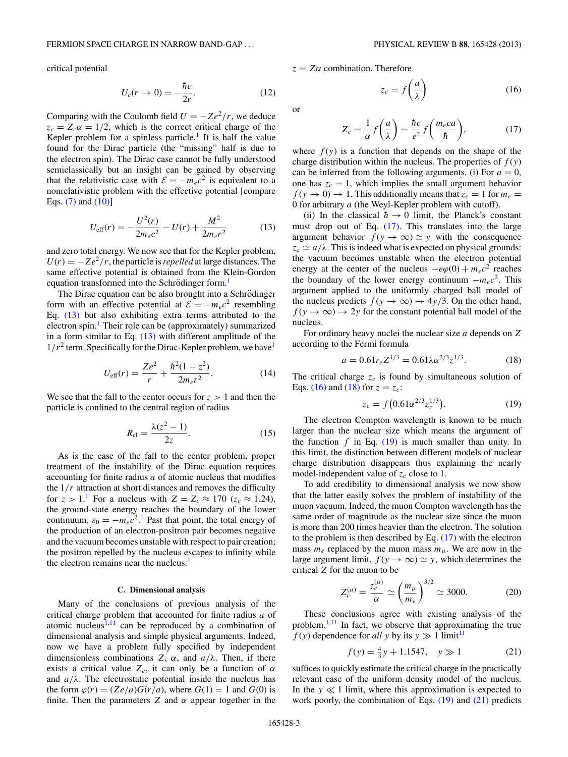<span id="page-2-0"></span>critical potential

$$
U_c(r \to 0) = -\frac{\hbar c}{2r}.\tag{12}
$$

Comparing with the Coulomb field  $U = -Ze^2/r$ , we deduce  $z_c = Z_c \alpha = 1/2$ , which is the correct critical charge of the Kepler problem for a spinless particle.<sup>1</sup> It is half the value found for the Dirac particle (the "missing" half is due to the electron spin). The Dirac case cannot be fully understood semiclassically but an insight can be gained by observing that the relativistic case with  $\mathcal{E} = -m_e c^2$  is equivalent to a nonrelativistic problem with the effective potential [compare Eqs. [\(7\)](#page-1-0) and [\(10\)\]](#page-1-0)

$$
U_{\text{eff}}(r) = -\frac{U^2(r)}{2m_ec^2} - U(r) + \frac{M^2}{2m_ec^2}
$$
 (13)

and zero total energy. We now see that for the Kepler problem,  $U(r) = -Ze^2/r$ , the particle is *repelled* at large distances. The same effective potential is obtained from the Klein-Gordon equation transformed into the Schrödinger form.<sup>[1](#page-11-0)</sup>

The Dirac equation can be also brought into a Schrödinger form with an effective potential at  $\mathcal{E} = -m_e c^2$  resembling Eq. (13) but also exhibiting extra terms attributed to the electron spin.<sup>[1](#page-11-0)</sup> Their role can be (approximately) summarized in a form similar to Eq. (13) with different amplitude of the  $1/r<sup>2</sup>$  $1/r<sup>2</sup>$  term. Specifically for the Dirac-Kepler problem, we have<sup>1</sup>

$$
U_{\rm eff}(r) = \frac{Ze^2}{r} + \frac{\hbar^2(1 - z^2)}{2m_e r^2}.
$$
 (14)

We see that the fall to the center occurs for  $z > 1$  and then the particle is confined to the central region of radius

$$
R_{\rm cl} = \frac{\lambda(z^2 - 1)}{2z}.\tag{15}
$$

As is the case of the fall to the center problem, proper treatment of the instability of the Dirac equation requires accounting for finite radius *a* of atomic nucleus that modifies the 1*/r* attraction at short distances and removes the difficulty for  $z > 1$  $z > 1$ . For a nucleus with  $Z = Z_c \approx 170$  ( $z_c \approx 1.24$ ), the ground-state energy reaches the boundary of the lower continuum,  $\varepsilon_0 = -m_e c^2$ .<sup>[1](#page-11-0)</sup> Past that point, the total energy of the production of an electron-positron pair becomes negative and the vacuum becomes unstable with respect to pair creation; the positron repelled by the nucleus escapes to infinity while the electron remains near the nucleus.<sup>[1](#page-11-0)</sup>

#### **C. Dimensional analysis**

Many of the conclusions of previous analysis of the critical charge problem that accounted for finite radius *a* of atomic nucleus<sup> $1,11$  $1,11$ </sup> can be reproduced by a combination of dimensional analysis and simple physical arguments. Indeed, now we have a problem fully specified by independent dimensionless combinations *Z*,  $\alpha$ , and  $a/\lambda$ . Then, if there exists a critical value  $Z_c$ , it can only be a function of  $\alpha$ and  $a/\lambda$ . The electrostatic potential inside the nucleus has the form  $\varphi(r) = (Ze/a)G(r/a)$ , where  $G(1) = 1$  and  $G(0)$  is finite. Then the parameters *Z* and *α* appear together in the *z* = *Zα* combination. Therefore

$$
z_c = f\left(\frac{a}{\lambda}\right) \tag{16}
$$

or

$$
Z_c = \frac{1}{\alpha} f\left(\frac{a}{\lambda}\right) = \frac{\hbar c}{e^2} f\left(\frac{m_e c a}{\hbar}\right),\tag{17}
$$

where  $f(y)$  is a function that depends on the shape of the charge distribution within the nucleus. The properties of  $f(y)$ can be inferred from the following arguments. (i) For  $a = 0$ , one has  $z_c = 1$ , which implies the small argument behavior  $f(y \to 0) \to 1$ . This additionally means that  $z_c = 1$  for  $m_e =$ 0 for arbitrary *a* (the Weyl-Kepler problem with cutoff).

(ii) In the classical  $\hbar \rightarrow 0$  limit, the Planck's constant must drop out of Eq. (17). This translates into the large argument behavior  $f(y \to \infty) \simeq y$  with the consequence  $z_c \simeq a/\lambda$ . This is indeed what is expected on physical grounds: the vacuum becomes unstable when the electron potential energy at the center of the nucleus  $-e\varphi(0) + m_ec^2$  reaches the boundary of the lower energy continuum  $-m_e c^2$ . This argument applied to the uniformly charged ball model of the nucleus predicts  $f(y \to \infty) \to 4y/3$ . On the other hand,  $f(y \to \infty) \to 2y$  for the constant potential ball model of the nucleus.

For ordinary heavy nuclei the nuclear size *a* depends on *Z* according to the Fermi formula

$$
a = 0.61r_e Z^{1/3} = 0.61\lambda \alpha^{2/3} z^{1/3}.
$$
 (18)

The critical charge  $z_c$  is found by simultaneous solution of Eqs. (16) and (18) for  $z = z_c$ :

$$
z_c = f(0.61\alpha^{2/3} z_c^{1/3}).
$$
 (19)

The electron Compton wavelength is known to be much larger than the nuclear size which means the argument of the function  $f$  in Eq.  $(19)$  is much smaller than unity. In this limit, the distinction between different models of nuclear charge distribution disappears thus explaining the nearly model-independent value of  $z_c$  close to 1.

To add credibility to dimensional analysis we now show that the latter easily solves the problem of instability of the muon vacuum. Indeed, the muon Compton wavelength has the same order of magnitude as the nuclear size since the muon is more than 200 times heavier than the electron. The solution to the problem is then described by Eq. (17) with the electron mass  $m_e$  replaced by the muon mass  $m_\mu$ . We are now in the large argument limit,  $f(y \to \infty) \simeq y$ , which determines the critical *Z* for the muon to be

$$
Z_c^{(\mu)} = \frac{z_c^{(\mu)}}{\alpha} \simeq \left(\frac{m_\mu}{m_e}\right)^{3/2} \simeq 3000. \tag{20}
$$

These conclusions agree with existing analysis of the problem.[1](#page-11-0)[,11](#page-12-0) In fact, we observe that approximating the true  $f(y)$  dependence for *all y* by its  $y \gg 1$  limit<sup>[11](#page-12-0)</sup>

$$
f(y) = \frac{4}{3}y + 1.1547, \quad y \gg 1 \tag{21}
$$

suffices to quickly estimate the critical charge in the practically relevant case of the uniform density model of the nucleus. In the  $y \ll 1$  limit, where this approximation is expected to work poorly, the combination of Eqs. (19) and (21) predicts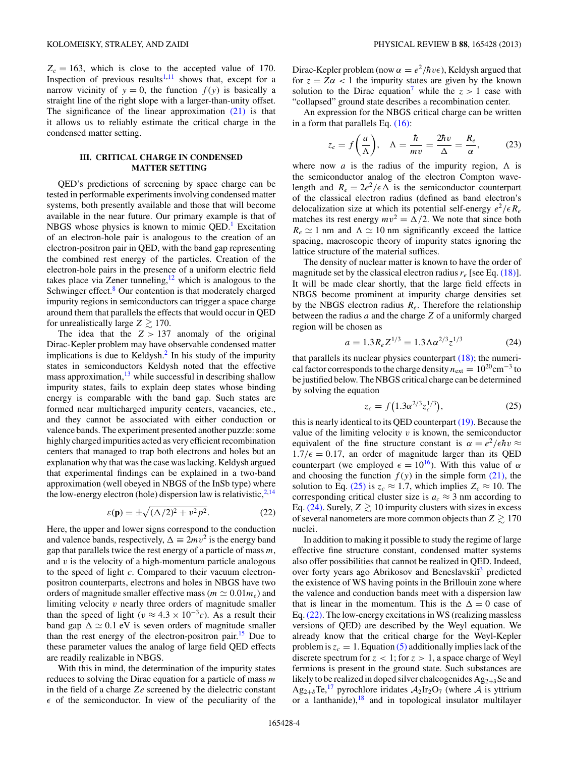<span id="page-3-0"></span> $Z_c = 163$ , which is close to the accepted value of 170. Inspection of previous results<sup>[1,](#page-11-0)[11](#page-12-0)</sup> shows that, except for a narrow vicinity of  $y = 0$ , the function  $f(y)$  is basically a straight line of the right slope with a larger-than-unity offset. The significance of the linear approximation  $(21)$  is that it allows us to reliably estimate the critical charge in the condensed matter setting.

# **III. CRITICAL CHARGE IN CONDENSED MATTER SETTING**

QED's predictions of screening by space charge can be tested in performable experiments involving condensed matter systems, both presently available and those that will become available in the near future. Our primary example is that of NBGS whose physics is known to mimic  $QED<sup>1</sup>$  Excitation of an electron-hole pair is analogous to the creation of an electron-positron pair in QED, with the band gap representing the combined rest energy of the particles. Creation of the electron-hole pairs in the presence of a uniform electric field takes place via Zener tunneling,  $12$  which is analogous to the Schwinger effect.<sup>[8](#page-12-0)</sup> Our contention is that moderately charged impurity regions in semiconductors can trigger a space charge around them that parallels the effects that would occur in QED for unrealistically large  $Z \gtrsim 170$ .

The idea that the  $Z > 137$  anomaly of the original Dirac-Kepler problem may have observable condensed matter implications is due to Keldysh. $<sup>2</sup>$  $<sup>2</sup>$  $<sup>2</sup>$  In his study of the impurity</sup> states in semiconductors Keldysh noted that the effective mass approximation, $13$  while successful in describing shallow impurity states, fails to explain deep states whose binding energy is comparable with the band gap. Such states are formed near multicharged impurity centers, vacancies, etc., and they cannot be associated with either conduction or valence bands. The experiment presented another puzzle: some highly charged impurities acted as very efficient recombination centers that managed to trap both electrons and holes but an explanation why that was the case was lacking. Keldysh argued that experimental findings can be explained in a two-band approximation (well obeyed in NBGS of the InSb type) where the low-energy electron (hole) dispersion law is relativistic,  $2,14$  $2,14$ 

$$
\varepsilon(\mathbf{p}) = \pm \sqrt{(\Delta/2)^2 + v^2 p^2}.
$$
 (22)

Here, the upper and lower signs correspond to the conduction and valence bands, respectively,  $\Delta = 2mv^2$  is the energy band gap that parallels twice the rest energy of a particle of mass *m*, and *v* is the velocity of a high-momentum particle analogous to the speed of light *c*. Compared to their vacuum electronpositron counterparts, electrons and holes in NBGS have two orders of magnitude smaller effective mass ( $m \simeq 0.01 m_e$ ) and limiting velocity *v* nearly three orders of magnitude smaller than the speed of light ( $v \approx 4.3 \times 10^{-3}c$ ). As a result their band gap  $\Delta \simeq 0.1$  eV is seven orders of magnitude smaller than the rest energy of the electron-positron pair.<sup>[15](#page-12-0)</sup> Due to these parameter values the analog of large field QED effects are readily realizable in NBGS.

With this in mind, the determination of the impurity states reduces to solving the Dirac equation for a particle of mass *m* in the field of a charge *Ze* screened by the dielectric constant  $\epsilon$  of the semiconductor. In view of the peculiarity of the Dirac-Kepler problem (now  $\alpha = e^2/\hbar v \epsilon$ ), Keldysh argued that for  $z = Z\alpha < 1$  the impurity states are given by the known solution to the Dirac equation<sup>7</sup> while the  $z > 1$  case with "collapsed" ground state describes a recombination center.

An expression for the NBGS critical charge can be written in a form that parallels Eq. [\(16\):](#page-2-0)

$$
z_c = f\left(\frac{a}{\Lambda}\right), \quad \Lambda = \frac{\hbar}{mv} = \frac{2\hbar v}{\Delta} = \frac{R_e}{\alpha},\tag{23}
$$

where now *a* is the radius of the impurity region,  $\Lambda$  is the semiconductor analog of the electron Compton wavelength and  $R_e = 2e^2/\epsilon \Delta$  is the semiconductor counterpart of the classical electron radius (defined as band electron's delocalization size at which its potential self-energy  $e^2/\epsilon R_e$ matches its rest energy  $mv^2 = \Delta/2$ . We note that since both  $R_e \simeq 1$  nm and  $\Lambda \simeq 10$  nm significantly exceed the lattice spacing, macroscopic theory of impurity states ignoring the lattice structure of the material suffices.

The density of nuclear matter is known to have the order of magnitude set by the classical electron radius  $r_e$  [see Eq. [\(18\)\]](#page-2-0). It will be made clear shortly, that the large field effects in NBGS become prominent at impurity charge densities set by the NBGS electron radius *Re*. Therefore the relationship between the radius *a* and the charge *Z* of a uniformly charged region will be chosen as

$$
a = 1.3 R_e Z^{1/3} = 1.3 \Lambda \alpha^{2/3} z^{1/3}
$$
 (24)

that parallels its nuclear physics counterpart  $(18)$ ; the numerical factor corresponds to the charge density  $n_{ext} = 10^{20}$ cm<sup>-3</sup> to be justified below. The NBGS critical charge can be determined by solving the equation

$$
z_c = f(1.3\alpha^{2/3} z_c^{1/3}),\tag{25}
$$

this is nearly identical to its QED counterpart [\(19\).](#page-2-0) Because the value of the limiting velocity  $v$  is known, the semiconductor equivalent of the fine structure constant is  $\alpha = e^2/\epsilon \hbar v \approx$  $1.7/\epsilon = 0.17$ , an order of magnitude larger than its QED counterpart (we employed  $\epsilon = 10^{16}$ ). With this value of  $\alpha$ and choosing the function  $f(y)$  in the simple form  $(21)$ , the solution to Eq. (25) is  $z_c \approx 1.7$ , which implies  $Z_c \approx 10$ . The corresponding critical cluster size is  $a_c \approx 3$  nm according to Eq. (24). Surely,  $Z \gtrsim 10$  impurity clusters with sizes in excess of several nanometers are more common objects than  $Z \gtrsim 170$ nuclei.

In addition to making it possible to study the regime of large effective fine structure constant, condensed matter systems also offer possibilities that cannot be realized in QED. Indeed, over forty years ago Abrikosov and Beneslavskii<sup>[3](#page-11-0)</sup> predicted the existence of WS having points in the Brillouin zone where the valence and conduction bands meet with a dispersion law that is linear in the momentum. This is the  $\Delta = 0$  case of Eq.(22). The low-energy excitations in WS (realizing massless versions of QED) are described by the Weyl equation. We already know that the critical charge for the Weyl-Kepler problem is  $z_c = 1$ . Equation [\(5\)](#page-1-0) additionally implies lack of the discrete spectrum for *z <* 1; for *z >* 1, a space charge of Weyl fermions is present in the ground state. Such substances are likely to be realized in doped silver chalcogenides Ag<sub>2+*δ*</sub>Se and  $Ag_{2+\delta}Te^{17}$  $Ag_{2+\delta}Te^{17}$  $Ag_{2+\delta}Te^{17}$  pyrochlore iridates  $A_2Ir_2O_7$  (where A is yttrium or a lanthanide), $18$  and in topological insulator multilayer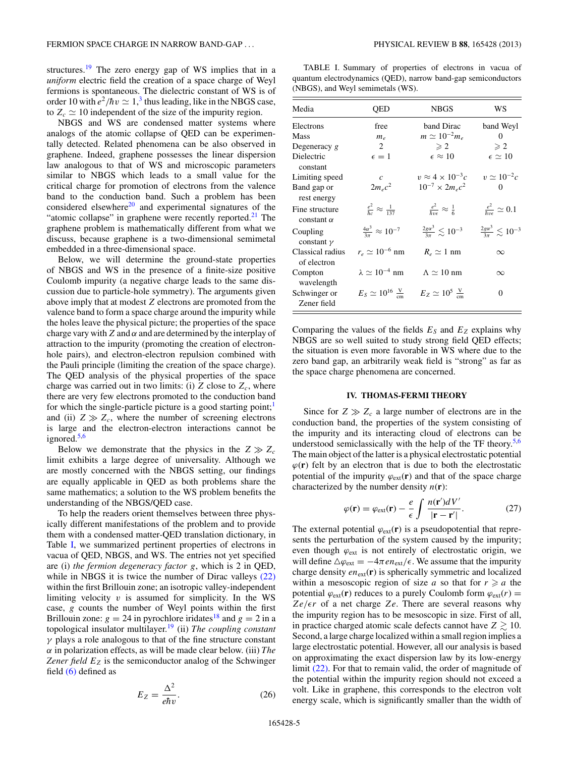<span id="page-4-0"></span>structures.[19](#page-12-0) The zero energy gap of WS implies that in a *uniform* electric field the creation of a space charge of Weyl fermions is spontaneous. The dielectric constant of WS is of order 10 with  $e^2/\hbar v \simeq 1$ ,<sup>[3](#page-11-0)</sup> thus leading, like in the NBGS case, to  $Z_c \simeq 10$  independent of the size of the impurity region.

NBGS and WS are condensed matter systems where analogs of the atomic collapse of QED can be experimentally detected. Related phenomena can be also observed in graphene. Indeed, graphene possesses the linear dispersion law analogous to that of WS and microscopic parameters similar to NBGS which leads to a small value for the critical charge for promotion of electrons from the valence band to the conduction band. Such a problem has been considered elsewhere $^{20}$  and experimental signatures of the "atomic collapse" in graphene were recently reported. $21$  The graphene problem is mathematically different from what we discuss, because graphene is a two-dimensional semimetal embedded in a three-dimensional space.

Below, we will determine the ground-state properties of NBGS and WS in the presence of a finite-size positive Coulomb impurity (a negative charge leads to the same discussion due to particle-hole symmetry). The arguments given above imply that at modest *Z* electrons are promoted from the valence band to form a space charge around the impurity while the holes leave the physical picture; the properties of the space charge vary with*Z* and *α* and are determined by the interplay of attraction to the impurity (promoting the creation of electronhole pairs), and electron-electron repulsion combined with the Pauli principle (limiting the creation of the space charge). The QED analysis of the physical properties of the space charge was carried out in two limits: (i)  $Z$  close to  $Z_c$ , where there are very few electrons promoted to the conduction band for which the single-particle picture is a good starting point; $<sup>1</sup>$  $<sup>1</sup>$  $<sup>1</sup>$ </sup> and (ii)  $Z \gg Z_c$ , where the number of screening electrons is large and the electron-electron interactions cannot be ignored.<sup>[5,6](#page-12-0)</sup>

Below we demonstrate that the physics in the  $Z \gg Z_c$ limit exhibits a large degree of universality. Although we are mostly concerned with the NBGS setting, our findings are equally applicable in QED as both problems share the same mathematics; a solution to the WS problem benefits the understanding of the NBGS/QED case.

To help the readers orient themselves between three physically different manifestations of the problem and to provide them with a condensed matter-QED translation dictionary, in Table I, we summarized pertinent properties of electrons in vacua of QED, NBGS, and WS. The entries not yet specified are (i) *the fermion degeneracy factor g*, which is 2 in QED, while in NBGS it is twice the number of Dirac valleys [\(22\)](#page-3-0) within the first Brillouin zone; an isotropic valley-independent limiting velocity *v* is assumed for simplicity. In the WS case, *g* counts the number of Weyl points within the first Brillouin zone:  $g = 24$  in pyrochlore iridates<sup>[18](#page-12-0)</sup> and  $g = 2$  in a topological insulator multilayer.[19](#page-12-0) (ii) *The coupling constant γ* plays a role analogous to that of the fine structure constant *α* in polarization effects, as will be made clear below. (iii) *The Zener field*  $E_Z$  is the semiconductor analog of the Schwinger field [\(6\)](#page-1-0) defined as

$$
E_Z = \frac{\Delta^2}{e\hbar v}.
$$
 (26)

TABLE I. Summary of properties of electrons in vacua of quantum electrodynamics (QED), narrow band-gap semiconductors (NBGS), and Weyl semimetals (WS).

| Media                               | QED                                       | <b>NBGS</b>                                        | WS                                         |
|-------------------------------------|-------------------------------------------|----------------------------------------------------|--------------------------------------------|
| Electrons                           | free                                      | band Dirac                                         | band Weyl                                  |
| <b>Mass</b>                         | $m_e$                                     | $m \simeq 10^{-2} m_e$                             | 0                                          |
| Degeneracy $g$                      | 2                                         | $\geqslant 2$                                      | $\geqslant 2$                              |
| Dielectric<br>constant              | $\epsilon=1$                              | $\epsilon \approx 10$                              | $\epsilon \simeq 10$                       |
| Limiting speed                      | $\mathcal{C}$                             | $v \approx 4 \times 10^{-3}c$                      | $v \simeq 10^{-2}c$                        |
| Band gap or<br>rest energy          | $2m_ec^2$                                 | $10^{-7} \times 2 m_e c^2$                         | 0                                          |
| Fine structure<br>constant $\alpha$ | $rac{e^2}{\hbar c} \approx \frac{1}{137}$ | $\frac{e^2}{\hbar v \epsilon} \approx \frac{1}{6}$ | $\frac{e^2}{\hbar v \epsilon} \simeq 0.1$  |
| Coupling<br>constant $\gamma$       | $\frac{4\alpha^3}{3\pi} \approx 10^{-7}$  | $\frac{2g\alpha^3}{3\pi} \lesssim 10^{-3}$         | $\frac{2g\alpha^3}{3\pi} \lesssim 10^{-3}$ |
| Classical radius<br>of electron     | $r_e \simeq 10^{-6}$ nm                   | $R_e \simeq 1$ nm                                  | $\infty$                                   |
| Compton<br>wavelength               | $\lambda \simeq 10^{-4}$ nm               | $\Lambda \simeq 10$ nm                             | $\infty$                                   |
| Schwinger or<br>Zener field         | $E_S \simeq 10^{16} \frac{\rm V}{\rm cm}$ | $E_Z \simeq 10^5 \frac{\rm V}{\rm cm}$             | $\Omega$                                   |

Comparing the values of the fields  $E<sub>S</sub>$  and  $E<sub>Z</sub>$  explains why NBGS are so well suited to study strong field QED effects; the situation is even more favorable in WS where due to the zero band gap, an arbitrarily weak field is "strong" as far as the space charge phenomena are concerned.

## **IV. THOMAS-FERMI THEORY**

Since for  $Z \gg Z_c$  a large number of electrons are in the conduction band, the properties of the system consisting of the impurity and its interacting cloud of electrons can be understood semiclassically with the help of the TF theory. $5,6$ The main object of the latter is a physical electrostatic potential  $\varphi(\mathbf{r})$  felt by an electron that is due to both the electrostatic potential of the impurity  $\varphi_{ext}(\mathbf{r})$  and that of the space charge characterized by the number density  $n(\mathbf{r})$ :

$$
\varphi(\mathbf{r}) = \varphi_{\text{ext}}(\mathbf{r}) - \frac{e}{\epsilon} \int \frac{n(\mathbf{r}')dV'}{|\mathbf{r} - \mathbf{r}'|}.
$$
 (27)

The external potential  $\varphi_{ext}(\mathbf{r})$  is a pseudopotential that represents the perturbation of the system caused by the impurity; even though  $\varphi_{ext}$  is not entirely of electrostatic origin, we will define  $\Delta \varphi_{ext} = -4\pi e n_{ext}/\epsilon$ . We assume that the impurity charge density  $en_{ext}(\mathbf{r})$  is spherically symmetric and localized within a mesoscopic region of size *a* so that for  $r \ge a$  the potential  $\varphi_{ext}(\mathbf{r})$  reduces to a purely Coulomb form  $\varphi_{ext}(r)$  =  $Ze/er$  of a net charge *Ze*. There are several reasons why the impurity region has to be mesoscopic in size. First of all, in practice charged atomic scale defects cannot have  $Z \gtrsim 10$ . Second, a large charge localized within a small region implies a large electrostatic potential. However, all our analysis is based on approximating the exact dispersion law by its low-energy limit [\(22\).](#page-3-0) For that to remain valid, the order of magnitude of the potential within the impurity region should not exceed a volt. Like in graphene, this corresponds to the electron volt energy scale, which is significantly smaller than the width of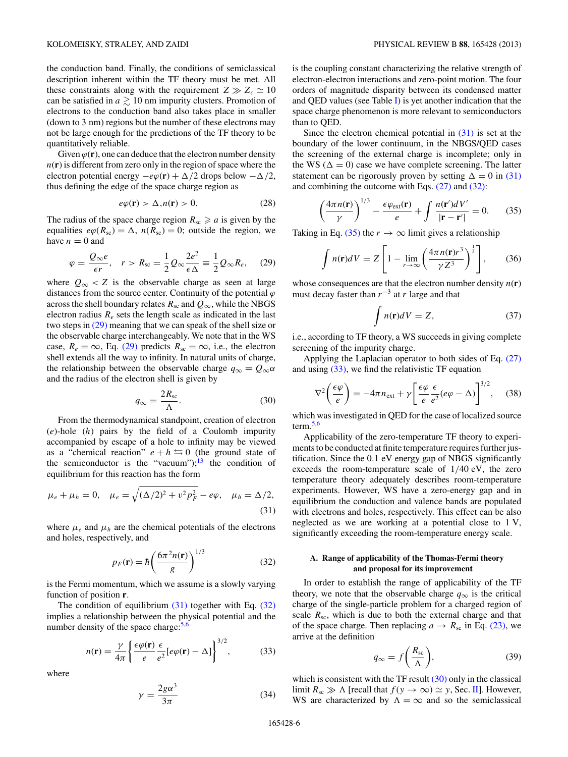<span id="page-5-0"></span>the conduction band. Finally, the conditions of semiclassical description inherent within the TF theory must be met. All these constraints along with the requirement  $Z \gg Z_c \simeq 10$ can be satisfied in  $a \gtrsim 10$  nm impurity clusters. Promotion of electrons to the conduction band also takes place in smaller (down to 3 nm) regions but the number of these electrons may not be large enough for the predictions of the TF theory to be quantitatively reliable.

Given  $\varphi(\mathbf{r})$ , one can deduce that the electron number density *n*(**r**) is different from zero only in the region of space where the electron potential energy  $-e\varphi(\mathbf{r}) + \Delta/2$  drops below  $-\Delta/2$ , thus defining the edge of the space charge region as

$$
e\varphi(\mathbf{r}) > \Delta, n(\mathbf{r}) > 0. \tag{28}
$$

The radius of the space charge region  $R_{\rm sc} \ge a$  is given by the equalities  $e\varphi(R_{\rm sc}) = \Delta$ ,  $n(R_{\rm sc}) = 0$ ; outside the region, we have  $n = 0$  and

$$
\varphi = \frac{Q_{\infty}e}{\epsilon r}, \quad r > R_{\rm sc} = \frac{1}{2}Q_{\infty}\frac{2e^2}{\epsilon \Delta} \equiv \frac{1}{2}Q_{\infty}R_e, \quad (29)
$$

where  $Q_{\infty}$  < Z is the observable charge as seen at large distances from the source center. Continuity of the potential  $\varphi$ across the shell boundary relates  $R_{\rm sc}$  and  $Q_{\infty}$ , while the NBGS electron radius *Re* sets the length scale as indicated in the last two steps in (29) meaning that we can speak of the shell size or the observable charge interchangeably. We note that in the WS case,  $R_e = \infty$ , Eq. (29) predicts  $R_{sc} = \infty$ , i.e., the electron shell extends all the way to infinity. In natural units of charge, the relationship between the observable charge  $q_{\infty} = Q_{\infty} \alpha$ and the radius of the electron shell is given by

$$
q_{\infty} = \frac{2R_{\rm sc}}{\Lambda}.
$$
 (30)

From the thermodynamical standpoint, creation of electron (*e*)-hole (*h*) pairs by the field of a Coulomb impurity accompanied by escape of a hole to infinity may be viewed as a "chemical reaction"  $e + h \leq 0$  (the ground state of the semiconductor is the "vacuum"); $^{13}$  the condition of equilibrium for this reaction has the form

$$
\mu_e + \mu_h = 0
$$
,  $\mu_e = \sqrt{(\Delta/2)^2 + v^2 p_F^2} - e\varphi$ ,  $\mu_h = \Delta/2$ , (31)

where  $\mu_e$  and  $\mu_h$  are the chemical potentials of the electrons and holes, respectively, and

$$
p_F(\mathbf{r}) = \hbar \left( \frac{6\pi^2 n(\mathbf{r})}{g} \right)^{1/3} \tag{32}
$$

is the Fermi momentum, which we assume is a slowly varying function of position **r**.

The condition of equilibrium  $(31)$  together with Eq.  $(32)$ implies a relationship between the physical potential and the number density of the space charge: $5,6$ 

$$
n(\mathbf{r}) = \frac{\gamma}{4\pi} \left\{ \frac{\epsilon \varphi(\mathbf{r})}{e} \frac{\epsilon}{e^2} [e\varphi(\mathbf{r}) - \Delta] \right\}^{3/2},\tag{33}
$$

where

$$
\gamma = \frac{2g\alpha^3}{3\pi} \tag{34}
$$

is the coupling constant characterizing the relative strength of electron-electron interactions and zero-point motion. The four orders of magnitude disparity between its condensed matter and QED values (see Table [I\)](#page-4-0) is yet another indication that the space charge phenomenon is more relevant to semiconductors than to QED.

Since the electron chemical potential in  $(31)$  is set at the boundary of the lower continuum, in the NBGS/QED cases the screening of the external charge is incomplete; only in the WS ( $\Delta = 0$ ) case we have complete screening. The latter statement can be rigorously proven by setting  $\Delta = 0$  in (31) and combining the outcome with Eqs. [\(27\)](#page-4-0) and (32):

$$
\left(\frac{4\pi n(\mathbf{r})}{\gamma}\right)^{1/3} - \frac{\epsilon \varphi_{\text{ext}}(\mathbf{r})}{e} + \int \frac{n(\mathbf{r}')dV'}{|\mathbf{r} - \mathbf{r}'|} = 0. \tag{35}
$$

Taking in Eq. (35) the  $r \to \infty$  limit gives a relationship

$$
\int n(\mathbf{r})dV = Z \left[ 1 - \lim_{r \to \infty} \left( \frac{4\pi n(\mathbf{r})r^3}{\gamma Z^3} \right)^{\frac{1}{3}} \right],\qquad(36)
$$

whose consequences are that the electron number density  $n(r)$ must decay faster than *r*−<sup>3</sup> at *r* large and that

$$
\int n(\mathbf{r})dV = Z,\tag{37}
$$

i.e., according to TF theory, a WS succeeds in giving complete screening of the impurity charge.

Applying the Laplacian operator to both sides of Eq. [\(27\)](#page-4-0) and using (33), we find the relativistic TF equation

$$
\nabla^2 \left( \frac{\epsilon \varphi}{e} \right) = -4\pi n_{\text{ext}} + \gamma \left[ \frac{\epsilon \varphi}{e} \frac{\epsilon}{e^2} (e\varphi - \Delta) \right]^{3/2}, \quad (38)
$$

which was investigated in QED for the case of localized source term. $5,6$ 

Applicability of the zero-temperature TF theory to experiments to be conducted at finite temperature requires further justification. Since the 0*.*1 eV energy gap of NBGS significantly exceeds the room-temperature scale of 1*/*40 eV, the zero temperature theory adequately describes room-temperature experiments. However, WS have a zero-energy gap and in equilibrium the conduction and valence bands are populated with electrons and holes, respectively. This effect can be also neglected as we are working at a potential close to 1 V, significantly exceeding the room-temperature energy scale.

# **A. Range of applicability of the Thomas-Fermi theory and proposal for its improvement**

In order to establish the range of applicability of the TF theory, we note that the observable charge  $q_{\infty}$  is the critical charge of the single-particle problem for a charged region of scale  $R_{\rm sc}$ , which is due to both the external charge and that of the space charge. Then replacing  $a \rightarrow R_{\rm sc}$  in Eq. [\(23\),](#page-3-0) we arrive at the definition

$$
q_{\infty} = f\left(\frac{R_{\rm sc}}{\Lambda}\right),\tag{39}
$$

which is consistent with the TF result  $(30)$  only in the classical limit  $R_{\rm sc} \gg \Lambda$  [recall that  $f(y \to \infty) \simeq y$ , Sec. [II\]](#page-0-0). However, WS are characterized by  $\Lambda = \infty$  and so the semiclassical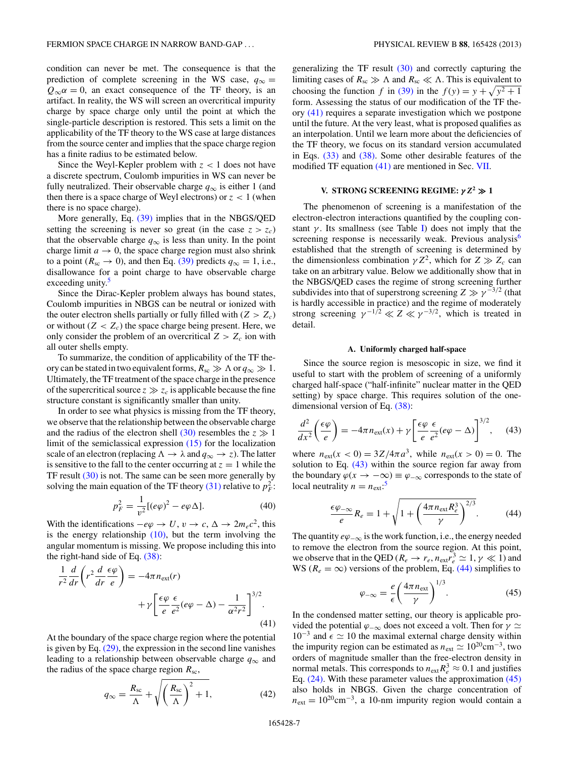<span id="page-6-0"></span>condition can never be met. The consequence is that the prediction of complete screening in the WS case,  $q_{\infty}$  =  $Q_{\infty} \alpha = 0$ , an exact consequence of the TF theory, is an artifact. In reality, the WS will screen an overcritical impurity charge by space charge only until the point at which the single-particle description is restored. This sets a limit on the applicability of the TF theory to the WS case at large distances from the source center and implies that the space charge region has a finite radius to be estimated below.

Since the Weyl-Kepler problem with *z <* 1 does not have a discrete spectrum, Coulomb impurities in WS can never be fully neutralized. Their observable charge  $q_{\infty}$  is either 1 (and then there is a space charge of Weyl electrons) or *z <* 1 (when there is no space charge).

More generally, Eq. [\(39\)](#page-5-0) implies that in the NBGS/QED setting the screening is never so great (in the case  $z > z_c$ ) that the observable charge  $q_{\infty}$  is less than unity. In the point charge limit  $a \rightarrow 0$ , the space charge region must also shrink to a point ( $R_{\rm sc} \rightarrow 0$ ), and then Eq. [\(39\)](#page-5-0) predicts  $q_{\infty} = 1$ , i.e., disallowance for a point charge to have observable charge exceeding unity.<sup>5</sup>

Since the Dirac-Kepler problem always has bound states, Coulomb impurities in NBGS can be neutral or ionized with the outer electron shells partially or fully filled with  $(Z > Z_c)$ or without  $(Z < Z_c)$  the space charge being present. Here, we only consider the problem of an overcritical  $Z > Z_c$  ion with all outer shells empty.

To summarize, the condition of applicability of the TF theory can be stated in two equivalent forms,  $R_{\rm sc} \gg \Lambda$  or  $q_{\infty} \gg 1$ . Ultimately, the TF treatment of the space charge in the presence of the supercritical source  $z \gg z_c$  is applicable because the fine structure constant is significantly smaller than unity.

In order to see what physics is missing from the TF theory, we observe that the relationship between the observable charge and the radius of the electron shell  $(30)$  resembles the  $z \gg 1$ limit of the semiclassical expression [\(15\)](#page-2-0) for the localization scale of an electron (replacing  $\Lambda \to \lambda$  and  $q_{\infty} \to z$ ). The latter is sensitive to the fall to the center occurring at  $z = 1$  while the TF result [\(30\)](#page-5-0) is not. The same can be seen more generally by solving the main equation of the TF theory [\(31\)](#page-5-0) relative to  $p_F^2$ :

$$
p_F^2 = \frac{1}{v^2} [(\evarphi)^2 - e\varphi \Delta].
$$
 (40)

With the identifications  $-e\varphi \to U$ ,  $v \to c$ ,  $\Delta \to 2m_ec^2$ , this is the energy relationship  $(10)$ , but the term involving the angular momentum is missing. We propose including this into the right-hand side of Eq. [\(38\):](#page-5-0)

$$
\frac{1}{r^2}\frac{d}{dr}\left(r^2\frac{d}{dr}\frac{\epsilon\varphi}{e}\right) = -4\pi n_{\text{ext}}(r) + \gamma \left[\frac{\epsilon\varphi}{e}\frac{\epsilon}{e^2}(e\varphi - \Delta) - \frac{1}{\alpha^2 r^2}\right]^{3/2}.
$$
\n(41)

At the boundary of the space charge region where the potential is given by Eq. [\(29\),](#page-5-0) the expression in the second line vanishes leading to a relationship between observable charge  $q_{\infty}$  and the radius of the space charge region  $R_{\rm sc}$ ,

$$
q_{\infty} = \frac{R_{\rm sc}}{\Lambda} + \sqrt{\left(\frac{R_{\rm sc}}{\Lambda}\right)^2 + 1},\tag{42}
$$

generalizing the TF result [\(30\)](#page-5-0) and correctly capturing the limiting cases of  $R_{\rm sc} \gg \Lambda$  and  $R_{\rm sc} \ll \Lambda$ . This is equivalent to choosing the function *f* in [\(39\)](#page-5-0) in the  $f(y) = y + \sqrt{y^2 + 1}$ form. Assessing the status of our modification of the TF theory (41) requires a separate investigation which we postpone until the future. At the very least, what is proposed qualifies as an interpolation. Until we learn more about the deficiencies of the TF theory, we focus on its standard version accumulated in Eqs. [\(33\)](#page-5-0) and [\(38\).](#page-5-0) Some other desirable features of the modified TF equation (41) are mentioned in Sec. [VII.](#page-11-0)

# **V. STRONG SCREENING REGIME:**  $\gamma Z^2 \gg 1$

The phenomenon of screening is a manifestation of the electron-electron interactions quantified by the coupling constant  $\gamma$ . Its smallness (see Table [I\)](#page-4-0) does not imply that the screening response is necessarily weak. Previous analysis $6$ established that the strength of screening is determined by the dimensionless combination  $\gamma Z^2$ , which for  $Z \gg Z_c$  can take on an arbitrary value. Below we additionally show that in the NBGS/QED cases the regime of strong screening further subdivides into that of superstrong screening  $Z \gg \gamma^{-3/2}$  (that is hardly accessible in practice) and the regime of moderately strong screening  $\gamma^{-1/2} \ll Z \ll \gamma^{-3/2}$ , which is treated in detail.

#### **A. Uniformly charged half-space**

Since the source region is mesoscopic in size, we find it useful to start with the problem of screening of a uniformly charged half-space ("half-infinite" nuclear matter in the QED setting) by space charge. This requires solution of the onedimensional version of Eq. [\(38\):](#page-5-0)

$$
\frac{d^2}{dx^2} \left( \frac{\epsilon \varphi}{e} \right) = -4\pi n_{\text{ext}}(x) + \gamma \left[ \frac{\epsilon \varphi}{e} \frac{\epsilon}{e^2} (e\varphi - \Delta) \right]^{3/2}, \quad (43)
$$

where  $n_{ext}(x < 0) = 3Z/4\pi a^3$ , while  $n_{ext}(x > 0) = 0$ . The solution to Eq. (43) within the source region far away from the boundary  $\varphi(x \to -\infty) \equiv \varphi_{-\infty}$  corresponds to the state of local neutrality  $n = n_{\text{ext}}$ :<sup>[5](#page-12-0)</sup>

$$
\frac{\epsilon \varphi_{-\infty}}{e} R_e = 1 + \sqrt{1 + \left(\frac{4\pi n_{\text{ext}} R_e^3}{\gamma}\right)^{2/3}}.
$$
 (44)

The quantity *eϕ*−∞ is the work function, i.e., the energy needed to remove the electron from the source region. At this point, we observe that in the QED ( $R_e \rightarrow r_e$ ,  $n_{ext}r_e^3 \simeq 1$ ,  $\gamma \ll 1$ ) and WS ( $R_e = \infty$ ) versions of the problem, Eq. (44) simplifies to

$$
\varphi_{-\infty} = \frac{e}{\epsilon} \left( \frac{4\pi n_{\text{ext}}}{\gamma} \right)^{1/3}.
$$
 (45)

In the condensed matter setting, our theory is applicable provided the potential *ϕ*−∞ does not exceed a volt. Then for *γ* 10<sup>-3</sup> and  $\epsilon$   $\approx$  10 the maximal external charge density within the impurity region can be estimated as  $n_{ext} \simeq 10^{20} \text{cm}^{-3}$ , two orders of magnitude smaller than the free-electron density in normal metals. This corresponds to  $n_{ext}R_e^3 \approx 0.1$  and justifies Eq. [\(24\).](#page-3-0) With these parameter values the approximation (45) also holds in NBGS. Given the charge concentration of  $n_{\text{ext}} = 10^{20} \text{cm}^{-3}$ , a 10-nm impurity region would contain a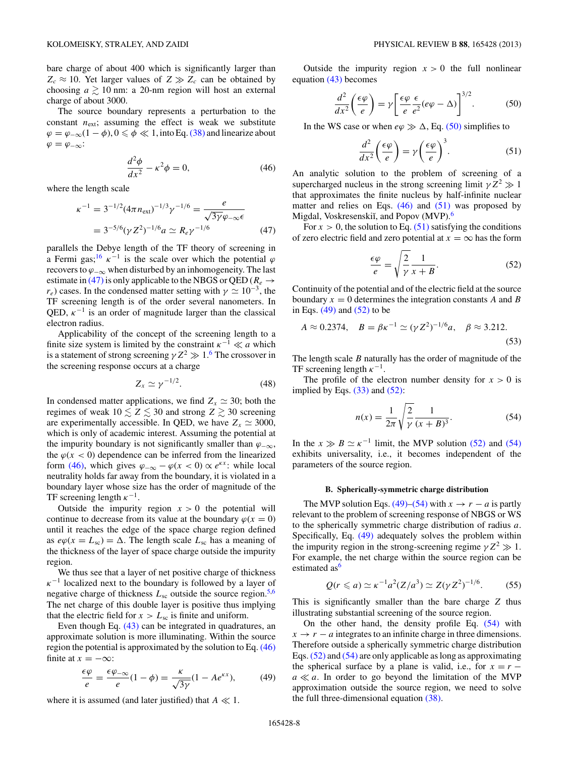<span id="page-7-0"></span>bare charge of about 400 which is significantly larger than  $Z_c \approx 10$ . Yet larger values of  $Z \gg Z_c$  can be obtained by choosing  $a \gtrsim 10$  nm: a 20-nm region will host an external charge of about 3000.

The source boundary represents a perturbation to the constant  $n_{\text{ext}}$ ; assuming the effect is weak we substitute  $\varphi = \varphi_{-\infty}(1-\varphi), 0 \le \varphi \ll 1$ , into Eq. [\(38\)](#page-5-0) and linearize about  $\varphi = \varphi_{-\infty}$ :

$$
\frac{d^2\phi}{dx^2} - \kappa^2 \phi = 0,\t(46)
$$

where the length scale

$$
\kappa^{-1} = 3^{-1/2} (4\pi n_{\text{ext}})^{-1/3} \gamma^{-1/6} = \frac{e}{\sqrt{3\gamma} \varphi_{-\infty} \epsilon}
$$
  
=  $3^{-5/6} (\gamma Z^2)^{-1/6} a \simeq R_e \gamma^{-1/6}$  (47)

parallels the Debye length of the TF theory of screening in a Fermi gas;<sup>16</sup>  $\kappa^{-1}$  is the scale over which the potential  $\varphi$ recovers to  $\varphi_{-\infty}$  when disturbed by an inhomogeneity. The last estimate in (47) is only applicable to the NBGS or QED ( $R_e \rightarrow$  $r_e$ ) cases. In the condensed matter setting with  $\gamma \simeq 10^{-3}$ , the TF screening length is of the order several nanometers. In QED,  $\kappa^{-1}$  is an order of magnitude larger than the classical electron radius.

Applicability of the concept of the screening length to a finite size system is limited by the constraint  $\kappa^{-1} \ll a$  which is a statement of strong screening  $\gamma Z^2 \gg 1.6$  $\gamma Z^2 \gg 1.6$  The crossover in the screening response occurs at a charge

$$
Z_x \simeq \gamma^{-1/2}.\tag{48}
$$

In condensed matter applications, we find  $Z_x \simeq 30$ ; both the regimes of weak  $10 \lesssim Z \lesssim 30$  and strong  $Z \gtrsim 30$  screening are experimentally accessible. In QED, we have  $Z_x \simeq 3000$ , which is only of academic interest. Assuming the potential at the impurity boundary is not significantly smaller than  $\varphi_{-\infty}$ , the  $\varphi$ ( $x$  < 0) dependence can be inferred from the linearized form (46), which gives  $\varphi_{-\infty} - \varphi(x < 0) \propto e^{\kappa x}$ : while local neutrality holds far away from the boundary, it is violated in a boundary layer whose size has the order of magnitude of the TF screening length  $\kappa^{-1}$ .

Outside the impurity region  $x > 0$  the potential will continue to decrease from its value at the boundary  $\varphi(x = 0)$ until it reaches the edge of the space charge region defined as  $e\varphi(x = L_{sc}) = \Delta$ . The length scale  $L_{sc}$  has a meaning of the thickness of the layer of space charge outside the impurity region.

We thus see that a layer of net positive charge of thickness  $\kappa^{-1}$  localized next to the boundary is followed by a layer of negative charge of thickness  $L_{\rm sc}$  outside the source region.<sup>5,6</sup> The net charge of this double layer is positive thus implying that the electric field for  $x > L<sub>sc</sub>$  is finite and uniform.

Even though Eq. [\(43\)](#page-6-0) can be integrated in quadratures, an approximate solution is more illuminating. Within the source region the potential is approximated by the solution to Eq. (46) finite at  $x = -\infty$ :

$$
\frac{\epsilon \varphi}{e} = \frac{\epsilon \varphi_{-\infty}}{e} (1 - \phi) = \frac{\kappa}{\sqrt{3\gamma}} (1 - Ae^{\kappa x}),\tag{49}
$$

where it is assumed (and later justified) that  $A \ll 1$ .

Outside the impurity region  $x > 0$  the full nonlinear equation [\(43\)](#page-6-0) becomes

$$
\frac{d^2}{dx^2} \left( \frac{\epsilon \varphi}{e} \right) = \gamma \left[ \frac{\epsilon \varphi}{e} \frac{\epsilon}{e^2} (e\varphi - \Delta) \right]^{3/2}.
$$
 (50)

In the WS case or when  $e\varphi \gg \Delta$ , Eq. (50) simplifies to

$$
\frac{d^2}{dx^2} \left( \frac{\epsilon \varphi}{e} \right) = \gamma \left( \frac{\epsilon \varphi}{e} \right)^3.
$$
 (51)

An analytic solution to the problem of screening of a supercharged nucleus in the strong screening limit  $\gamma Z^2 \gg 1$ that approximates the finite nucleus by half-infinite nuclear matter and relies on Eqs.  $(46)$  and  $(51)$  was proposed by Migdal, Voskresenskiı̆, and Popov (MVP).<sup>[6](#page-12-0)</sup>

For  $x > 0$ , the solution to Eq. (51) satisfying the conditions of zero electric field and zero potential at  $x = \infty$  has the form

$$
\frac{\epsilon \varphi}{e} = \sqrt{\frac{2}{\gamma}} \frac{1}{x + B}.
$$
 (52)

Continuity of the potential and of the electric field at the source boundary  $x = 0$  determines the integration constants A and B in Eqs.  $(49)$  and  $(52)$  to be

$$
A \approx 0.2374
$$
,  $B = \beta \kappa^{-1} \simeq (\gamma Z^2)^{-1/6} a$ ,  $\beta \approx 3.212$ . (53)

The length scale *B* naturally has the order of magnitude of the TF screening length  $\kappa^{-1}$ .

The profile of the electron number density for  $x > 0$  is implied by Eqs.  $(33)$  and  $(52)$ :

$$
n(x) = \frac{1}{2\pi} \sqrt{\frac{2}{\gamma}} \frac{1}{(x+B)^3}.
$$
 (54)

In the  $x \gg B \simeq \kappa^{-1}$  limit, the MVP solution (52) and (54) exhibits universality, i.e., it becomes independent of the parameters of the source region.

#### **B. Spherically-symmetric charge distribution**

The MVP solution Eqs. (49)–(54) with  $x \to r - a$  is partly relevant to the problem of screening response of NBGS or WS to the spherically symmetric charge distribution of radius *a*. Specifically, Eq. (49) adequately solves the problem within the impurity region in the strong-screening regime  $\gamma Z^2 \gg 1$ . For example, the net charge within the source region can be estimated as  $6$ 

$$
Q(r \le a) \simeq \kappa^{-1} a^2 (Z/a^3) \simeq Z(\gamma Z^2)^{-1/6}.
$$
 (55)

This is significantly smaller than the bare charge *Z* thus illustrating substantial screening of the source region.

On the other hand, the density profile Eq. (54) with  $x \rightarrow r - a$  integrates to an infinite charge in three dimensions. Therefore outside a spherically symmetric charge distribution Eqs. (52) and (54) are only applicable as long as approximating the spherical surface by a plane is valid, i.e., for  $x = r$  $a \ll a$ . In order to go beyond the limitation of the MVP approximation outside the source region, we need to solve the full three-dimensional equation [\(38\).](#page-5-0)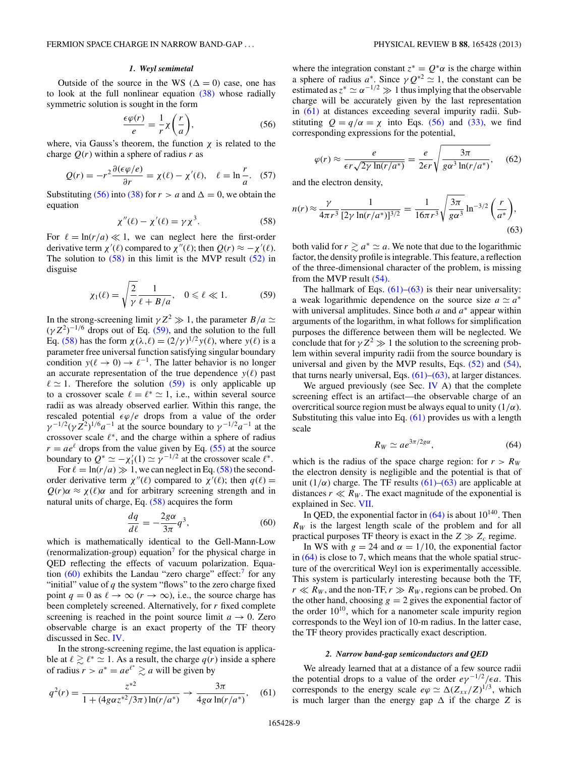#### *1. Weyl semimetal*

<span id="page-8-0"></span>Outside of the source in the WS ( $\Delta = 0$ ) case, one has to look at the full nonlinear equation [\(38\)](#page-5-0) whose radially symmetric solution is sought in the form

$$
\frac{\epsilon \varphi(r)}{e} = \frac{1}{r} \chi \left( \frac{r}{a} \right),\tag{56}
$$

where, via Gauss's theorem, the function  $\chi$  is related to the charge  $O(r)$  within a sphere of radius r as

$$
Q(r) = -r^2 \frac{\partial (\epsilon \varphi / e)}{\partial r} = \chi(\ell) - \chi'(\ell), \quad \ell = \ln \frac{r}{a}.
$$
 (57)

Substituting (56) into [\(38\)](#page-5-0) for  $r > a$  and  $\Delta = 0$ , we obtain the equation

$$
\chi''(\ell) - \chi'(\ell) = \gamma \chi^3. \tag{58}
$$

For  $\ell = \ln(r/a) \ll 1$ , we can neglect here the first-order derivative term *χ'*( $\ell$ ) compared to *χ''*( $\ell$ ); then  $Q(r) \approx -\chi'(\ell)$ . The solution to  $(58)$  in this limit is the MVP result  $(52)$  in disguise

$$
\chi_1(\ell) = \sqrt{\frac{2}{\gamma}} \frac{1}{\ell + B/a}, \quad 0 \leq \ell \ll 1. \tag{59}
$$

In the strong-screening limit  $\gamma Z^2 \gg 1$ , the parameter *B/a*  $\simeq$  $(\gamma Z^2)^{-1/6}$  drops out of Eq. (59), and the solution to the full Eq. (58) has the form  $\chi(\lambda, \ell) = (2/\gamma)^{1/2} y(\ell)$ , where  $y(\ell)$  is a parameter free universal function satisfying singular boundary condition  $y(\ell \to 0) \to \ell^{-1}$ . The latter behavior is no longer an accurate representation of the true dependence  $y(\ell)$  past  $\ell \simeq 1$ . Therefore the solution (59) is only applicable up to a crossover scale  $\ell = \ell^* \simeq 1$ , i.e., within several source radii as was already observed earlier. Within this range, the rescaled potential  $\epsilon \varphi/e$  drops from a value of the order  $\gamma^{-1/2}(\gamma Z^2)^{1/6}a^{-1}$  at the source boundary to  $\gamma^{-1/2}a^{-1}$  at the crossover scale  $\ell^*$ , and the charge within a sphere of radius  $r = ae^{l}$  drops from the value given by Eq. [\(55\)](#page-7-0) at the source boundary to  $Q^* \simeq -\chi'_1(1) \simeq \gamma^{-1/2}$  at the crossover scale  $\ell^*$ .

For  $\ell = \ln(r/a) \gg 1$ , we can neglect in Eq. (58) the secondorder derivative term  $\chi''(\ell)$  compared to  $\chi'(\ell)$ ; then  $q(\ell)$  =  $Q(r)\alpha \approx \chi(\ell)\alpha$  and for arbitrary screening strength and in natural units of charge, Eq. (58) acquires the form

$$
\frac{dq}{d\ell} = -\frac{2g\alpha}{3\pi}q^3,\tag{60}
$$

which is mathematically identical to the Gell-Mann-Low (renormalization-group) equation<sup>[7](#page-12-0)</sup> for the physical charge in QED reflecting the effects of vacuum polarization. Equation  $(60)$  exhibits the Landau "zero charge" effect:<sup>7</sup> for any "initial" value of *q* the system "flows" to the zero charge fixed point  $q = 0$  as  $\ell \to \infty$   $(r \to \infty)$ , i.e., the source charge has been completely screened. Alternatively, for *r* fixed complete screening is reached in the point source limit  $a \to 0$ . Zero observable charge is an exact property of the TF theory discussed in Sec. [IV.](#page-4-0)

In the strong-screening regime, the last equation is applicable at  $\ell \gtrsim \ell^* \simeq 1$ . As a result, the charge  $q(r)$  inside a sphere of radius  $r > a^* = ae^{l^*} \gtrsim a$  will be given by

$$
q^{2}(r) = \frac{z^{*2}}{1 + (4g\alpha z^{*2}/3\pi) \ln(r/a^{*})} \to \frac{3\pi}{4g\alpha \ln(r/a^{*})},
$$
 (61)

where the integration constant  $z^* = Q^* \alpha$  is the charge within a sphere of radius  $a^*$ . Since  $\gamma Q^{*2} \simeq 1$ , the constant can be estimated as  $z^* \simeq \alpha^{-1/2} \gg 1$  thus implying that the observable charge will be accurately given by the last representation in (61) at distances exceeding several impurity radii. Substituting  $Q = q/\alpha = \chi$  into Eqs. (56) and [\(33\),](#page-5-0) we find corresponding expressions for the potential,

$$
\varphi(r) \approx \frac{e}{\epsilon r \sqrt{2\gamma \ln(r/a^*)}} = \frac{e}{2\epsilon r} \sqrt{\frac{3\pi}{g\alpha^3 \ln(r/a^*)}},\quad(62)
$$

and the electron density,

$$
n(r) \approx \frac{\gamma}{4\pi r^3} \frac{1}{[2\gamma \ln(r/a^*)]^{3/2}} = \frac{1}{16\pi r^3} \sqrt{\frac{3\pi}{g\alpha^3}} \ln^{-3/2} \left(\frac{r}{a^*}\right),\tag{63}
$$

both valid for  $r \ge a^* \simeq a$ . We note that due to the logarithmic factor, the density profile is integrable. This feature, a reflection of the three-dimensional character of the problem, is missing from the MVP result [\(54\).](#page-7-0)

The hallmark of Eqs.  $(61)$ – $(63)$  is their near universality: a weak logarithmic dependence on the source size  $a \simeq a^*$ with universal amplitudes. Since both *a* and *a*<sup>∗</sup> appear within arguments of the logarithm, in what follows for simplification purposes the difference between them will be neglected. We conclude that for  $\gamma Z^2 \gg 1$  the solution to the screening problem within several impurity radii from the source boundary is universal and given by the MVP results, Eqs. [\(52\)](#page-7-0) and [\(54\),](#page-7-0) that turns nearly universal, Eqs.  $(61)$ – $(63)$ , at larger distances.

We argued previously (see Sec. [IV](#page-4-0)  $A$ ) that the complete screening effect is an artifact—the observable charge of an overcritical source region must be always equal to unity  $(1/\alpha)$ . Substituting this value into Eq. (61) provides us with a length scale

$$
R_W \simeq a e^{3\pi/2g\alpha},\tag{64}
$$

which is the radius of the space charge region: for  $r > R_W$ the electron density is negligible and the potential is that of unit  $(1/\alpha)$  charge. The TF results  $(61)$ – $(63)$  are applicable at distances  $r \ll R_W$ . The exact magnitude of the exponential is explained in Sec. [VII.](#page-11-0)

In QED, the exponential factor in  $(64)$  is about  $10^{140}$ . Then  $R_W$  is the largest length scale of the problem and for all practical purposes TF theory is exact in the  $Z \gg Z_c$  regime.

In WS with  $g = 24$  and  $\alpha = 1/10$ , the exponential factor in (64) is close to 7, which means that the whole spatial structure of the overcritical Weyl ion is experimentally accessible. This system is particularly interesting because both the TF,  $r \ll R_W$ , and the non-TF,  $r \gg R_W$ , regions can be probed. On the other hand, choosing  $g = 2$  gives the exponential factor of the order  $10^{10}$ , which for a nanometer scale impurity region corresponds to the Weyl ion of 10-m radius. In the latter case, the TF theory provides practically exact description.

## *2. Narrow band-gap semiconductors and QED*

We already learned that at a distance of a few source radii the potential drops to a value of the order  $e\gamma^{-1/2}/\epsilon a$ . This corresponds to the energy scale  $e\varphi \simeq \Delta (Z_{xx}/Z)^{1/3}$ , which is much larger than the energy gap  $\Delta$  if the charge *Z* is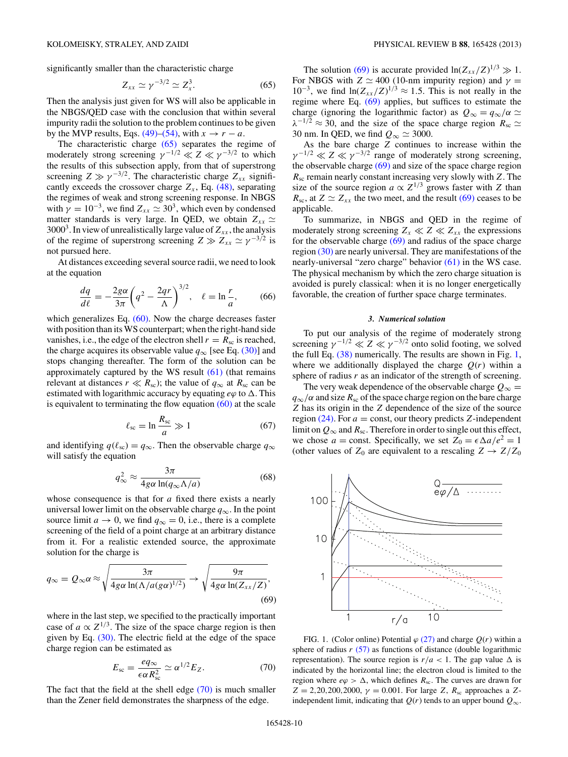<span id="page-9-0"></span>significantly smaller than the characteristic charge

$$
Z_{xx} \simeq \gamma^{-3/2} \simeq Z_x^3. \tag{65}
$$

Then the analysis just given for WS will also be applicable in the NBGS/QED case with the conclusion that within several impurity radii the solution to the problem continues to be given by the MVP results, Eqs. [\(49\)–\(54\),](#page-7-0) with  $x \to r - a$ .

The characteristic charge (65) separates the regime of moderately strong screening  $\gamma^{-1/2} \ll Z \ll \gamma^{-3/2}$  to which the results of this subsection apply, from that of superstrong screening  $Z \gg \gamma^{-3/2}$ . The characteristic charge  $Z_{xx}$  significantly exceeds the crossover charge  $Z_x$ , Eq. [\(48\),](#page-7-0) separating the regimes of weak and strong screening response. In NBGS with  $\gamma = 10^{-3}$ , we find  $Z_{xx} \simeq 30^3$ , which even by condensed matter standards is very large. In QED, we obtain  $Z_{xx} \simeq$  $3000<sup>3</sup>$ . In view of unrealistically large value of  $Z_{xx}$ , the analysis of the regime of superstrong screening  $Z \gg Z_{xx} \simeq \gamma^{-3/2}$  is not pursued here.

At distances exceeding several source radii, we need to look at the equation

$$
\frac{dq}{d\ell} = -\frac{2g\alpha}{3\pi} \left( q^2 - \frac{2qr}{\Lambda} \right)^{3/2}, \quad \ell = \ln \frac{r}{a},\tag{66}
$$

which generalizes Eq. [\(60\).](#page-8-0) Now the charge decreases faster with position than its WS counterpart; when the right-hand side vanishes, i.e., the edge of the electron shell  $r = R_{\rm sc}$  is reached, the charge acquires its observable value  $q_{\infty}$  [see Eq. [\(30\)\]](#page-5-0) and stops changing thereafter. The form of the solution can be approximately captured by the WS result [\(61\)](#page-8-0) (that remains relevant at distances  $r \ll R_{\rm sc}$ ); the value of  $q_{\infty}$  at  $R_{\rm sc}$  can be estimated with logarithmic accuracy by equating  $e\varphi$  to  $\Delta$ . This is equivalent to terminating the flow equation  $(60)$  at the scale

$$
\ell_{\rm sc} = \ln \frac{R_{\rm sc}}{a} \gg 1\tag{67}
$$

and identifying  $q(\ell_{\text{sc}}) = q_{\infty}$ . Then the observable charge  $q_{\infty}$ will satisfy the equation

$$
q_{\infty}^2 \approx \frac{3\pi}{4g\alpha \ln(q_{\infty}\Lambda/a)}\tag{68}
$$

whose consequence is that for *a* fixed there exists a nearly universal lower limit on the observable charge *q*∞. In the point source limit  $a \to 0$ , we find  $q_{\infty} = 0$ , i.e., there is a complete screening of the field of a point charge at an arbitrary distance from it. For a realistic extended source, the approximate solution for the charge is

$$
q_{\infty} = Q_{\infty} \alpha \approx \sqrt{\frac{3\pi}{4g\alpha \ln(\Lambda/a(g\alpha)^{1/2})}} \rightarrow \sqrt{\frac{9\pi}{4g\alpha \ln(Z_{xx}/Z)}},
$$
\n(69)

where in the last step, we specified to the practically important case of  $a \propto Z^{1/3}$ . The size of the space charge region is then given by Eq.  $(30)$ . The electric field at the edge of the space charge region can be estimated as

$$
E_{\rm sc} = \frac{eq_{\infty}}{\epsilon \alpha R_{\rm sc}^2} \simeq \alpha^{1/2} E_Z.
$$
 (70)

The fact that the field at the shell edge (70) is much smaller than the Zener field demonstrates the sharpness of the edge.

The solution (69) is accurate provided  $\ln(Z_{xx}/Z)^{1/3} \gg 1$ . For NBGS with  $Z \simeq 400$  (10-nm impurity region) and  $\gamma =$ 10<sup>-3</sup>, we find  $ln(Z_{xx}/Z)^{1/3}$  ≈ 1.5. This is not really in the regime where Eq. (69) applies, but suffices to estimate the charge (ignoring the logarithmic factor) as  $Q_{\infty} = q_{\infty}/\alpha \simeq$  $\lambda^{-1/2} \approx 30$ , and the size of the space charge region  $R_{\rm sc} \simeq$ 30 nm. In QED, we find  $Q_{\infty} \simeq 3000$ .

As the bare charge *Z* continues to increase within the  $\gamma^{-1/2} \ll Z \ll \gamma^{-3/2}$  range of moderately strong screening, the observable charge  $(69)$  and size of the space charge region *R*sc remain nearly constant increasing very slowly with *Z*. The size of the source region  $a \propto Z^{1/3}$  grows faster with *Z* than  $R_{\rm sc}$ , at  $Z \simeq Z_{xx}$  the two meet, and the result (69) ceases to be applicable.

To summarize, in NBGS and QED in the regime of moderately strong screening  $Z_x \ll Z \ll Z_{xx}$  the expressions for the observable charge (69) and radius of the space charge region [\(30\)](#page-5-0) are nearly universal. They are manifestations of the nearly-universal "zero charge" behavior [\(61\)](#page-8-0) in the WS case. The physical mechanism by which the zero charge situation is avoided is purely classical: when it is no longer energetically favorable, the creation of further space charge terminates.

### *3. Numerical solution*

To put our analysis of the regime of moderately strong screening  $\gamma^{-1/2} \ll Z \ll \gamma^{-3/2}$  onto solid footing, we solved the full Eq. [\(38\)](#page-5-0) numerically. The results are shown in Fig. 1, where we additionally displayed the charge  $Q(r)$  within a sphere of radius *r* as an indicator of the strength of screening.

The very weak dependence of the observable charge  $Q_{\infty} =$  $q_{\infty}/\alpha$  and size  $R_{\rm sc}$  of the space charge region on the bare charge *Z* has its origin in the *Z* dependence of the size of the source region  $(24)$ . For  $a =$  const, our theory predicts *Z*-independent limit on  $Q_{\infty}$  and  $R_{\text{sc}}$ . Therefore in order to single out this effect, we chose  $a =$  const. Specifically, we set  $Z_0 = \epsilon \Delta a/e^2 = 1$ (other values of  $Z_0$  are equivalent to a rescaling  $Z \rightarrow Z/Z_0$ 



FIG. 1. (Color online) Potential  $\varphi$  [\(27\)](#page-4-0) and charge  $Q(r)$  within a sphere of radius  $r$  [\(57\)](#page-8-0) as functions of distance (double logarithmic representation). The source region is  $r/a < 1$ . The gap value  $\Delta$  is indicated by the horizontal line; the electron cloud is limited to the region where  $e\varphi > \Delta$ , which defines  $R_{sc}$ . The curves are drawn for  $Z = 2,20,200,2000$ ,  $\gamma = 0.001$ . For large *Z*,  $R_{\rm sc}$  approaches a *Z*independent limit, indicating that  $Q(r)$  tends to an upper bound  $Q_{\infty}$ .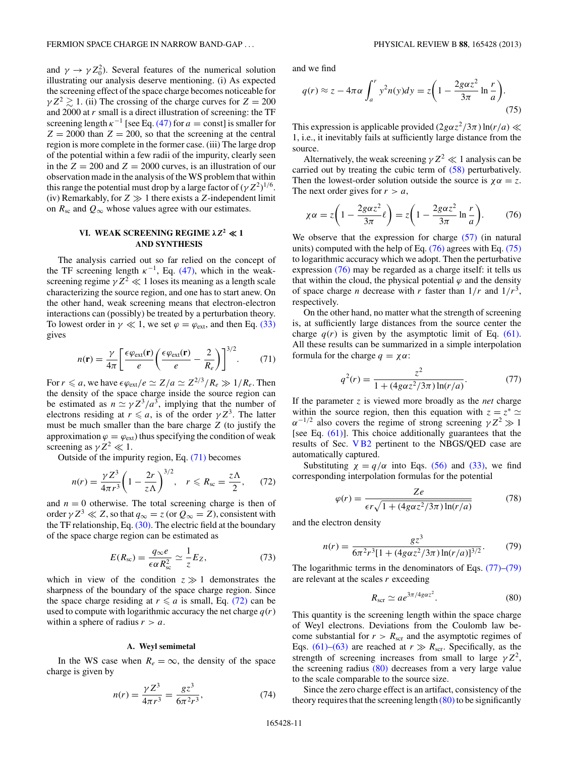<span id="page-10-0"></span>and  $\gamma \to \gamma Z_0^2$ ). Several features of the numerical solution illustrating our analysis deserve mentioning. (i) As expected the screening effect of the space charge becomes noticeable for  $\gamma Z^2 \gtrsim 1$ . (ii) The crossing of the charge curves for  $Z = 200$ and 2000 at *r* small is a direct illustration of screening: the TF screening length  $\kappa^{-1}$  [see Eq. [\(47\)](#page-7-0) for  $a = \text{const}$ ] is smaller for  $Z = 2000$  than  $Z = 200$ , so that the screening at the central region is more complete in the former case. (iii) The large drop of the potential within a few radii of the impurity, clearly seen in the  $Z = 200$  and  $Z = 2000$  curves, is an illustration of our observation made in the analysis of the WS problem that within this range the potential must drop by a large factor of  $(\gamma Z^2)^{1/6}$ . (iv) Remarkably, for  $Z \gg 1$  there exists a  $Z$ -independent limit on  $R_{\rm sc}$  and  $Q_{\infty}$  whose values agree with our estimates.

# **VI. WEAK SCREENING REGIME**  $\lambda Z^2 \ll 1$ **AND SYNTHESIS**

The analysis carried out so far relied on the concept of the TF screening length  $\kappa^{-1}$ , Eq. [\(47\),](#page-7-0) which in the weakscreening regime  $\gamma Z^2 \ll 1$  loses its meaning as a length scale characterizing the source region, and one has to start anew. On the other hand, weak screening means that electron-electron interactions can (possibly) be treated by a perturbation theory. To lowest order in  $\gamma \ll 1$ , we set  $\varphi = \varphi_{ext}$ , and then Eq. [\(33\)](#page-5-0) gives

$$
n(\mathbf{r}) = \frac{\gamma}{4\pi} \left[ \frac{\epsilon \varphi_{\text{ext}}(\mathbf{r})}{e} \left( \frac{\epsilon \varphi_{\text{ext}}(\mathbf{r})}{e} - \frac{2}{R_e} \right) \right]^{3/2} . \tag{71}
$$

For  $r \le a$ , we have  $\epsilon \varphi_{ext}/e \simeq Z/a \simeq Z^{2/3}/R_e \gg 1/R_e$ . Then the density of the space charge inside the source region can be estimated as  $n \simeq \gamma Z^3/a^3$ , implying that the number of electrons residing at  $r \leq a$ , is of the order  $\gamma Z^3$ . The latter must be much smaller than the bare charge *Z* (to justify the approximation  $\varphi = \varphi_{ext}$ ) thus specifying the condition of weak screening as  $\gamma Z^2 \ll 1$ .

Outside of the impurity region, Eq. (71) becomes

$$
n(r) = \frac{\gamma Z^3}{4\pi r^3} \bigg( 1 - \frac{2r}{z\Lambda} \bigg)^{3/2}, \quad r \leqslant R_{\rm sc} = \frac{z\Lambda}{2},\qquad(72)
$$

and  $n = 0$  otherwise. The total screening charge is then of order  $\gamma Z^3 \ll Z$ , so that  $q_\infty = z$  (or  $Q_\infty = Z$ ), consistent with the TF relationship, Eq. [\(30\).](#page-5-0) The electric field at the boundary of the space charge region can be estimated as

$$
E(R_{\rm sc}) = \frac{q_{\infty}e}{\epsilon \alpha R_{\rm sc}^2} \simeq \frac{1}{z} E_Z, \tag{73}
$$

which in view of the condition  $z \gg 1$  demonstrates the sharpness of the boundary of the space charge region. Since the space charge residing at  $r \leq a$  is small, Eq. (72) can be used to compute with logarithmic accuracy the net charge  $q(r)$ within a sphere of radius  $r > a$ .

#### **A. Weyl semimetal**

In the WS case when  $R_e = \infty$ , the density of the space charge is given by

$$
n(r) = \frac{\gamma Z^3}{4\pi r^3} = \frac{g z^3}{6\pi^2 r^3},\tag{74}
$$

and we find

$$
q(r) \approx z - 4\pi\alpha \int_a^r y^2 n(y) dy = z \left( 1 - \frac{2g\alpha z^2}{3\pi} \ln \frac{r}{a} \right).
$$
\n(75)

This expression is applicable provided  $(2g\alpha z^2/3\pi) \ln(r/a) \ll$ 1, i.e., it inevitably fails at sufficiently large distance from the source.

Alternatively, the weak screening  $\gamma Z^2 \ll 1$  analysis can be carried out by treating the cubic term of [\(58\)](#page-8-0) perturbatively. Then the lowest-order solution outside the source is  $\chi \alpha = z$ . The next order gives for  $r > a$ ,

$$
\chi \alpha = z \left( 1 - \frac{2g \alpha z^2}{3\pi} \ell \right) = z \left( 1 - \frac{2g \alpha z^2}{3\pi} \ln \frac{r}{a} \right). \tag{76}
$$

We observe that the expression for charge [\(57\)](#page-8-0) (in natural units) computed with the help of Eq.  $(76)$  agrees with Eq.  $(75)$ to logarithmic accuracy which we adopt. Then the perturbative expression (76) may be regarded as a charge itself: it tells us that within the cloud, the physical potential  $\varphi$  and the density of space charge *n* decrease with *r* faster than  $1/r$  and  $1/r<sup>3</sup>$ , respectively.

On the other hand, no matter what the strength of screening is, at sufficiently large distances from the source center the charge  $q(r)$  is given by the asymptotic limit of Eq. [\(61\).](#page-8-0) All these results can be summarized in a simple interpolation formula for the charge  $q = \chi \alpha$ :

$$
q^{2}(r) = \frac{z^{2}}{1 + (4g\alpha z^{2}/3\pi) \ln(r/a)}.
$$
 (77)

If the parameter *z* is viewed more broadly as the *net* charge within the source region, then this equation with  $z = z^* \approx$  $\alpha^{-1/2}$  also covers the regime of strong screening  $\gamma Z^2 \gg 1$ [see Eq.  $(61)$ ]. This choice additionally guarantees that the results of Sec. [V B2](#page-8-0) pertinent to the NBGS/QED case are automatically captured.

Substituting  $\chi = q/\alpha$  into Eqs. [\(56\)](#page-8-0) and [\(33\),](#page-5-0) we find corresponding interpolation formulas for the potential

$$
\varphi(r) = \frac{Ze}{\epsilon r \sqrt{1 + (4g\alpha z^2/3\pi) \ln(r/a)}}\tag{78}
$$

and the electron density

$$
n(r) = \frac{gz^3}{6\pi^2 r^3 [1 + (4g\alpha z^2/3\pi) \ln(r/a)]^{3/2}}.\tag{79}
$$

The logarithmic terms in the denominators of Eqs. (77)–(79) are relevant at the scales *r* exceeding

$$
R_{\rm scr} \simeq a e^{3\pi/4g\alpha z^2}.\tag{80}
$$

This quantity is the screening length within the space charge of Weyl electrons. Deviations from the Coulomb law become substantial for  $r > R<sub>scr</sub>$  and the asymptotic regimes of Eqs. [\(61\)–\(63\)](#page-8-0) are reached at  $r \gg R_{\rm scr}$ . Specifically, as the strength of screening increases from small to large  $\gamma Z^2$ , the screening radius (80) decreases from a very large value to the scale comparable to the source size.

Since the zero charge effect is an artifact, consistency of the theory requires that the screening length  $(80)$  to be significantly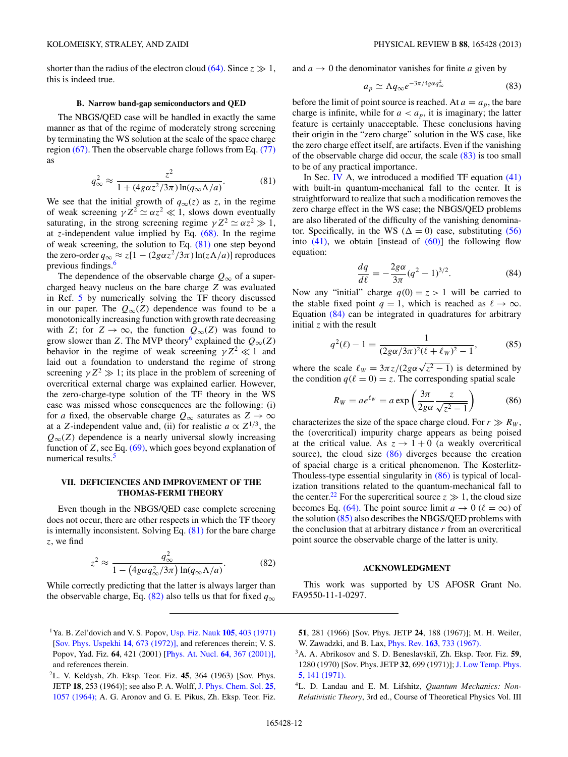<span id="page-11-0"></span>shorter than the radius of the electron cloud [\(64\).](#page-8-0) Since  $z \gg 1$ , this is indeed true.

#### **B. Narrow band-gap semiconductors and QED**

The NBGS/QED case will be handled in exactly the same manner as that of the regime of moderately strong screening by terminating the WS solution at the scale of the space charge region [\(67\).](#page-9-0) Then the observable charge follows from Eq. [\(77\)](#page-10-0) as

$$
q_{\infty}^2 \approx \frac{z^2}{1 + (4g\alpha z^2/3\pi) \ln(q_{\infty}\Lambda/a)}.\tag{81}
$$

We see that the initial growth of  $q_{\infty}(z)$  as *z*, in the regime of weak screening  $\gamma Z^2 \simeq \alpha z^2 \ll 1$ , slows down eventually saturating, in the strong screening regime  $\gamma Z^2 \simeq \alpha z^2 \gg 1$ , at *z*-independent value implied by Eq. [\(68\).](#page-9-0) In the regime of weak screening, the solution to Eq. (81) one step beyond the zero-order  $q_{\infty} \approx z[1 - (2g\alpha z^2/3\pi) \ln(z\Lambda/a)]$  reproduces previous findings.<sup>[6](#page-12-0)</sup>

The dependence of the observable charge  $Q_{\infty}$  of a supercharged heavy nucleus on the bare charge *Z* was evaluated in Ref. [5](#page-12-0) by numerically solving the TF theory discussed in our paper. The  $Q_{\infty}(Z)$  dependence was found to be a monotonically increasing function with growth rate decreasing with *Z*; for  $Z \to \infty$ , the function  $Q_{\infty}(Z)$  was found to grow slower than *Z*. The MVP theory<sup>6</sup> explained the  $Q_{\infty}(Z)$ behavior in the regime of weak screening  $\gamma Z^2 \ll 1$  and laid out a foundation to understand the regime of strong screening  $\gamma Z^2 \gg 1$ ; its place in the problem of screening of overcritical external charge was explained earlier. However, the zero-charge-type solution of the TF theory in the WS case was missed whose consequences are the following: (i) for *a* fixed, the observable charge  $Q_{\infty}$  saturates as  $Z \to \infty$ at a *Z*-independent value and, (ii) for realistic  $a \propto Z^{1/3}$ , the  $Q_{\infty}(Z)$  dependence is a nearly universal slowly increasing function of  $Z$ , see Eq.  $(69)$ , which goes beyond explanation of numerical results.<sup>[5](#page-12-0)</sup>

# **VII. DEFICIENCIES AND IMPROVEMENT OF THE THOMAS-FERMI THEORY**

Even though in the NBGS/QED case complete screening does not occur, there are other respects in which the TF theory is internally inconsistent. Solving Eq. (81) for the bare charge *z*, we find

$$
z^2 \approx \frac{q_{\infty}^2}{1 - \left(4g\alpha q_{\infty}^2/3\pi\right) \ln(q_{\infty}\Lambda/a)}.\tag{82}
$$

While correctly predicting that the latter is always larger than the observable charge, Eq. (82) also tells us that for fixed  $q_{\infty}$  and  $a \rightarrow 0$  the denominator vanishes for finite *a* given by

$$
a_p \simeq \Lambda q_\infty e^{-3\pi/4g\alpha q_\infty^2} \tag{83}
$$

before the limit of point source is reached. At  $a = a_p$ , the bare charge is infinite, while for  $a < a_p$ , it is imaginary; the latter feature is certainly unacceptable. These conclusions having their origin in the "zero charge" solution in the WS case, like the zero charge effect itself, are artifacts. Even if the vanishing of the observable charge did occur, the scale (83) is too small to be of any practical importance.

In Sec. [IV](#page-4-0) A, we introduced a modified TF equation  $(41)$ with built-in quantum-mechanical fall to the center. It is straightforward to realize that such a modification removes the zero charge effect in the WS case; the NBGS/QED problems are also liberated of the difficulty of the vanishing denominator. Specifically, in the WS ( $\Delta = 0$ ) case, substituting [\(56\)](#page-8-0) into  $(41)$ , we obtain [instead of  $(60)$ ] the following flow equation:

$$
\frac{dq}{d\ell} = -\frac{2g\alpha}{3\pi} (q^2 - 1)^{3/2}.
$$
 (84)

Now any "initial" charge  $q(0) = z > 1$  will be carried to the stable fixed point  $q = 1$ , which is reached as  $\ell \to \infty$ . Equation (84) can be integrated in quadratures for arbitrary initial *z* with the result

$$
q^{2}(\ell) - 1 = \frac{1}{(2g\alpha/3\pi)^{2}(\ell + \ell_{W})^{2} - 1},
$$
 (85)

where the scale  $\ell_W = 3\pi z/(2g\alpha\sqrt{z^2-1})$  is determined by the condition  $q(\ell = 0) = z$ . The corresponding spatial scale

$$
R_W = ae^{\ell w} = a \exp\left(\frac{3\pi}{2g\alpha} \frac{z}{\sqrt{z^2 - 1}}\right) \tag{86}
$$

characterizes the size of the space charge cloud. For  $r \gg R_W$ , the (overcritical) impurity charge appears as being poised at the critical value. As  $z \to 1 + 0$  (a weakly overcritical source), the cloud size (86) diverges because the creation of spacial charge is a critical phenomenon. The Kosterlitz-Thouless-type essential singularity in (86) is typical of localization transitions related to the quantum-mechanical fall to the center.<sup>[22](#page-12-0)</sup> For the supercritical source  $z \gg 1$ , the cloud size becomes Eq. [\(64\).](#page-8-0) The point source limit  $a \to 0$  ( $\ell = \infty$ ) of the solution (85) also describes the NBGS/QED problems with the conclusion that at arbitrary distance *r* from an overcritical point source the observable charge of the latter is unity.

#### **ACKNOWLEDGMENT**

This work was supported by US AFOSR Grant No. FA9550-11-1-0297.

<sup>1</sup>Ya. B. Zel'dovich and V. S. Popov, [Usp. Fiz. Nauk](http://dx.doi.org/10.3367/UFNr.0105.197111b.0403) **105**, 403 (1971) [\[Sov. Phys. Uspekhi](http://dx.doi.org/10.1070/PU1972v014n06ABEH004735) **14**, 673 (1972)], and references therein; V. S. Popov, Yad. Fiz. **64**, 421 (2001) [\[Phys. At. Nucl.](http://dx.doi.org/10.1134/1.1358463) **64**, 367 (2001)], and references therein.

<sup>2</sup>L. V. Keldysh, Zh. Eksp. Teor. Fiz. **45**, 364 (1963) [Sov. Phys. JETP **18**, 253 (1964)]; see also P. A. Wolff, [J. Phys. Chem. Sol.](http://dx.doi.org/10.1016/0022-3697(64)90128-3) **25**, [1057 \(1964\);](http://dx.doi.org/10.1016/0022-3697(64)90128-3) A. G. Aronov and G. E. Pikus, Zh. Eksp. Teor. Fiz.

**<sup>51</sup>**, 281 (1966) [Sov. Phys. JETP **24**, 188 (1967)]; M. H. Weiler, W. Zawadzki, and B. Lax, Phys. Rev. **163**[, 733 \(1967\).](http://dx.doi.org/10.1103/PhysRev.163.733)

<sup>&</sup>lt;sup>3</sup>A. A. Abrikosov and S. D. Beneslavskiı̆, Zh. Eksp. Teor. Fiz. 59, 1280 (1970) [Sov. Phys. JETP **32**, 699 (1971)]; [J. Low Temp. Phys.](http://dx.doi.org/10.1007/BF00629569) **5**[, 141 \(1971\).](http://dx.doi.org/10.1007/BF00629569)

<sup>4</sup>L. D. Landau and E. M. Lifshitz, *Quantum Mechanics: Non-Relativistic Theory*, 3rd ed., Course of Theoretical Physics Vol. III